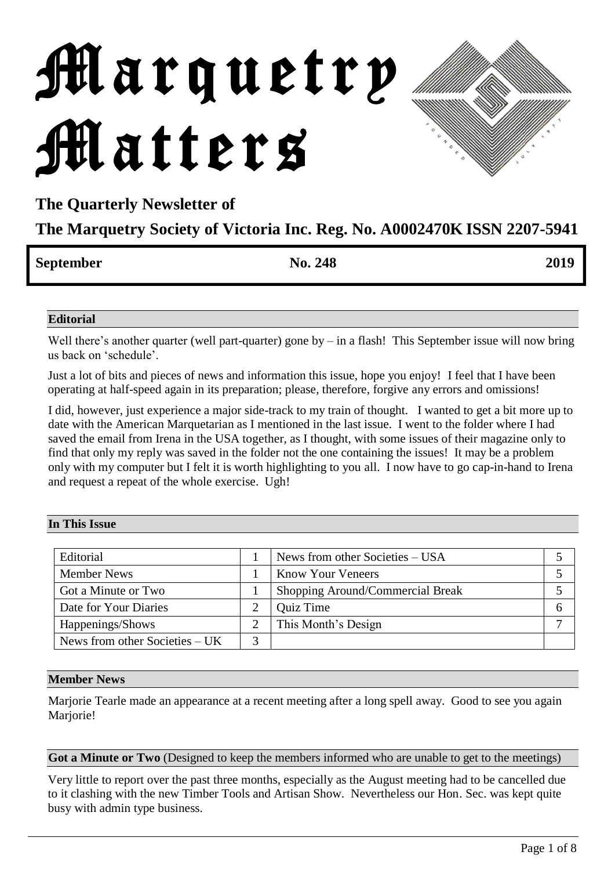# Marquetry Matters

# **The Quarterly Newsletter of**

# **The Marquetry Society of Victoria Inc. Reg. No. A0002470K ISSN 2207-5941**

| September | No. 248 | 2019 |
|-----------|---------|------|

#### **Editorial**

Well there's another quarter (well part-quarter) gone by – in a flash! This September issue will now bring us back on 'schedule'.

Just a lot of bits and pieces of news and information this issue, hope you enjoy! I feel that I have been operating at half-speed again in its preparation; please, therefore, forgive any errors and omissions!

I did, however, just experience a major side-track to my train of thought. I wanted to get a bit more up to date with the American Marquetarian as I mentioned in the last issue. I went to the folder where I had saved the email from Irena in the USA together, as I thought, with some issues of their magazine only to find that only my reply was saved in the folder not the one containing the issues! It may be a problem only with my computer but I felt it is worth highlighting to you all. I now have to go cap-in-hand to Irena and request a repeat of the whole exercise. Ugh!

#### **In This Issue**

| Editorial                        | News from other Societies – USA  |  |
|----------------------------------|----------------------------------|--|
| <b>Member News</b>               | <b>Know Your Veneers</b>         |  |
| Got a Minute or Two              | Shopping Around/Commercial Break |  |
| Date for Your Diaries            | <b>Quiz Time</b>                 |  |
| Happenings/Shows                 | This Month's Design              |  |
| News from other Societies $- UK$ |                                  |  |

#### **Member News**

Marjorie Tearle made an appearance at a recent meeting after a long spell away. Good to see you again Marjorie!

#### **Got a Minute or Two** (Designed to keep the members informed who are unable to get to the meetings)

Very little to report over the past three months, especially as the August meeting had to be cancelled due to it clashing with the new Timber Tools and Artisan Show. Nevertheless our Hon. Sec. was kept quite busy with admin type business.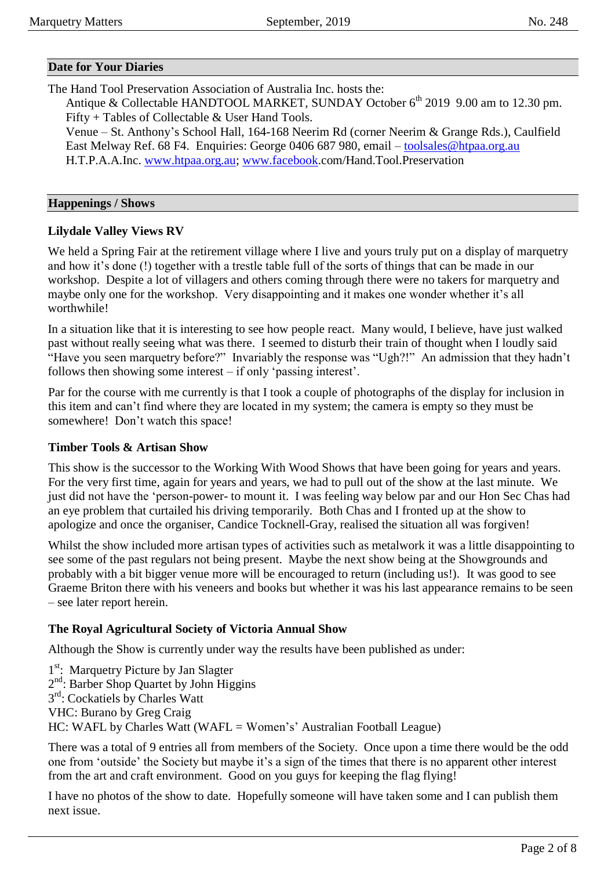#### **Date for Your Diaries**

The Hand Tool Preservation Association of Australia Inc. hosts the:

Antique & Collectable HANDTOOL MARKET, SUNDAY October  $6<sup>th</sup>$  2019 9.00 am to 12.30 pm. Fifty + Tables of Collectable & User Hand Tools.

Venue – St. Anthony's School Hall, 164-168 Neerim Rd (corner Neerim & Grange Rds.), Caulfield East Melway Ref. 68 F4. Enquiries: George 0406 687 980, email – [toolsales@htpaa.org.au](mailto:toolsales@htpaa.org.au) H.T.P.A.A.Inc. [www.htpaa.org.au;](http://www.htpaa.org.au/) [www.facebook.](http://www.facebook/)com/Hand.Tool.Preservation

#### **Happenings / Shows**

#### **Lilydale Valley Views RV**

We held a Spring Fair at the retirement village where I live and yours truly put on a display of marquetry and how it's done (!) together with a trestle table full of the sorts of things that can be made in our workshop. Despite a lot of villagers and others coming through there were no takers for marquetry and maybe only one for the workshop. Very disappointing and it makes one wonder whether it's all worthwhile!

In a situation like that it is interesting to see how people react. Many would, I believe, have just walked past without really seeing what was there. I seemed to disturb their train of thought when I loudly said "Have you seen marquetry before?" Invariably the response was "Ugh?!" An admission that they hadn't follows then showing some interest – if only 'passing interest'.

Par for the course with me currently is that I took a couple of photographs of the display for inclusion in this item and can't find where they are located in my system; the camera is empty so they must be somewhere! Don't watch this space!

#### **Timber Tools & Artisan Show**

This show is the successor to the Working With Wood Shows that have been going for years and years. For the very first time, again for years and years, we had to pull out of the show at the last minute. We just did not have the 'person-power- to mount it. I was feeling way below par and our Hon Sec Chas had an eye problem that curtailed his driving temporarily. Both Chas and I fronted up at the show to apologize and once the organiser, Candice Tocknell-Gray, realised the situation all was forgiven!

Whilst the show included more artisan types of activities such as metalwork it was a little disappointing to see some of the past regulars not being present. Maybe the next show being at the Showgrounds and probably with a bit bigger venue more will be encouraged to return (including us!). It was good to see Graeme Briton there with his veneers and books but whether it was his last appearance remains to be seen – see later report herein.

#### **The Royal Agricultural Society of Victoria Annual Show**

Although the Show is currently under way the results have been published as under:

1<sup>st</sup>: Marquetry Picture by Jan Slagter 2<sup>nd</sup>: Barber Shop Quartet by John Higgins 3<sup>rd</sup>: Cockatiels by Charles Watt VHC: Burano by Greg Craig HC: WAFL by Charles Watt (WAFL = Women's' Australian Football League)

There was a total of 9 entries all from members of the Society. Once upon a time there would be the odd one from 'outside' the Society but maybe it's a sign of the times that there is no apparent other interest from the art and craft environment. Good on you guys for keeping the flag flying!

I have no photos of the show to date. Hopefully someone will have taken some and I can publish them next issue.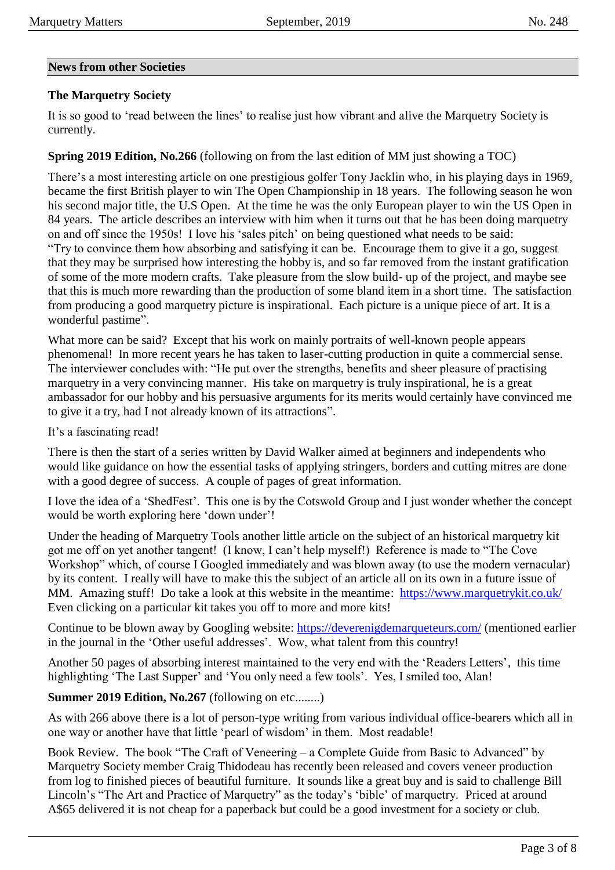#### **News from other Societies**

#### **The Marquetry Society**

It is so good to 'read between the lines' to realise just how vibrant and alive the Marquetry Society is currently.

#### **Spring 2019 Edition, No.266** (following on from the last edition of MM just showing a TOC)

There's a most interesting article on one prestigious golfer Tony Jacklin who, in his playing days in 1969, became the first British player to win The Open Championship in 18 years. The following season he won his second major title, the U.S Open. At the time he was the only European player to win the US Open in 84 years. The article describes an interview with him when it turns out that he has been doing marquetry on and off since the 1950s! I love his 'sales pitch' on being questioned what needs to be said: "Try to convince them how absorbing and satisfying it can be. Encourage them to give it a go, suggest that they may be surprised how interesting the hobby is, and so far removed from the instant gratification of some of the more modern crafts. Take pleasure from the slow build- up of the project, and maybe see that this is much more rewarding than the production of some bland item in a short time. The satisfaction from producing a good marquetry picture is inspirational. Each picture is a unique piece of art. It is a wonderful pastime".

What more can be said? Except that his work on mainly portraits of well-known people appears phenomenal! In more recent years he has taken to laser-cutting production in quite a commercial sense. The interviewer concludes with: "He put over the strengths, benefits and sheer pleasure of practising marquetry in a very convincing manner. His take on marquetry is truly inspirational, he is a great ambassador for our hobby and his persuasive arguments for its merits would certainly have convinced me to give it a try, had I not already known of its attractions".

It's a fascinating read!

There is then the start of a series written by David Walker aimed at beginners and independents who would like guidance on how the essential tasks of applying stringers, borders and cutting mitres are done with a good degree of success. A couple of pages of great information.

I love the idea of a 'ShedFest'. This one is by the Cotswold Group and I just wonder whether the concept would be worth exploring here 'down under'!

Under the heading of Marquetry Tools another little article on the subject of an historical marquetry kit got me off on yet another tangent! (I know, I can't help myself!) Reference is made to "The Cove Workshop" which, of course I Googled immediately and was blown away (to use the modern vernacular) by its content. I really will have to make this the subject of an article all on its own in a future issue of MM. Amazing stuff! Do take a look at this website in the meantime: <https://www.marquetrykit.co.uk/> Even clicking on a particular kit takes you off to more and more kits!

Continue to be blown away by Googling website:<https://deverenigdemarqueteurs.com/> (mentioned earlier in the journal in the 'Other useful addresses'. Wow, what talent from this country!

Another 50 pages of absorbing interest maintained to the very end with the 'Readers Letters', this time highlighting 'The Last Supper' and 'You only need a few tools'. Yes, I smiled too, Alan!

#### **Summer 2019 Edition, No.267** (following on etc........)

As with 266 above there is a lot of person-type writing from various individual office-bearers which all in one way or another have that little 'pearl of wisdom' in them. Most readable!

Book Review. The book "The Craft of Veneering – a Complete Guide from Basic to Advanced" by Marquetry Society member Craig Thidodeau has recently been released and covers veneer production from log to finished pieces of beautiful furniture. It sounds like a great buy and is said to challenge Bill Lincoln's "The Art and Practice of Marquetry" as the today's 'bible' of marquetry. Priced at around A\$65 delivered it is not cheap for a paperback but could be a good investment for a society or club.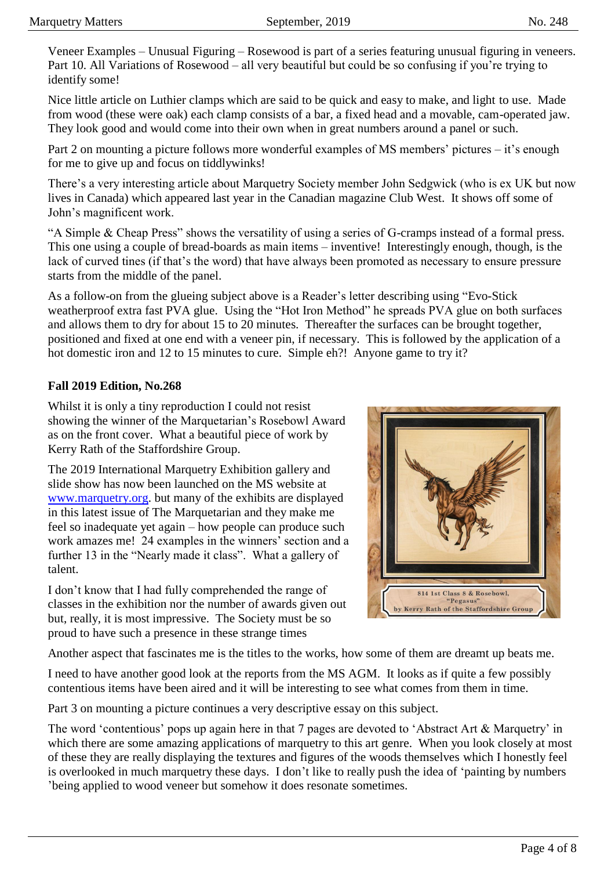Veneer Examples – Unusual Figuring – Rosewood is part of a series featuring unusual figuring in veneers. Part 10. All Variations of Rosewood – all very beautiful but could be so confusing if you're trying to identify some!

Nice little article on Luthier clamps which are said to be quick and easy to make, and light to use. Made from wood (these were oak) each clamp consists of a bar, a fixed head and a movable, cam-operated jaw. They look good and would come into their own when in great numbers around a panel or such.

Part 2 on mounting a picture follows more wonderful examples of MS members' pictures – it's enough for me to give up and focus on tiddlywinks!

There's a very interesting article about Marquetry Society member John Sedgwick (who is ex UK but now lives in Canada) which appeared last year in the Canadian magazine Club West. It shows off some of John's magnificent work.

"A Simple & Cheap Press" shows the versatility of using a series of G-cramps instead of a formal press. This one using a couple of bread-boards as main items – inventive! Interestingly enough, though, is the lack of curved tines (if that's the word) that have always been promoted as necessary to ensure pressure starts from the middle of the panel.

As a follow-on from the glueing subject above is a Reader's letter describing using "Evo-Stick weatherproof extra fast PVA glue. Using the "Hot Iron Method" he spreads PVA glue on both surfaces and allows them to dry for about 15 to 20 minutes. Thereafter the surfaces can be brought together, positioned and fixed at one end with a veneer pin, if necessary. This is followed by the application of a hot domestic iron and 12 to 15 minutes to cure. Simple eh?! Anyone game to try it?

#### **Fall 2019 Edition, No.268**

Whilst it is only a tiny reproduction I could not resist showing the winner of the Marquetarian's Rosebowl Award as on the front cover. What a beautiful piece of work by Kerry Rath of the Staffordshire Group.

The 2019 International Marquetry Exhibition gallery and slide show has now been launched on the MS website at [www.marquetry.org.](http://www.marquetry.org/) but many of the exhibits are displayed in this latest issue of The Marquetarian and they make me feel so inadequate yet again – how people can produce such work amazes me! 24 examples in the winners' section and a further 13 in the "Nearly made it class". What a gallery of talent.

I don't know that I had fully comprehended the range of classes in the exhibition nor the number of awards given out but, really, it is most impressive. The Society must be so proud to have such a presence in these strange times



Another aspect that fascinates me is the titles to the works, how some of them are dreamt up beats me.

I need to have another good look at the reports from the MS AGM. It looks as if quite a few possibly contentious items have been aired and it will be interesting to see what comes from them in time.

Part 3 on mounting a picture continues a very descriptive essay on this subject.

The word 'contentious' pops up again here in that 7 pages are devoted to 'Abstract Art & Marquetry' in which there are some amazing applications of marquetry to this art genre. When you look closely at most of these they are really displaying the textures and figures of the woods themselves which I honestly feel is overlooked in much marquetry these days. I don't like to really push the idea of 'painting by numbers 'being applied to wood veneer but somehow it does resonate sometimes.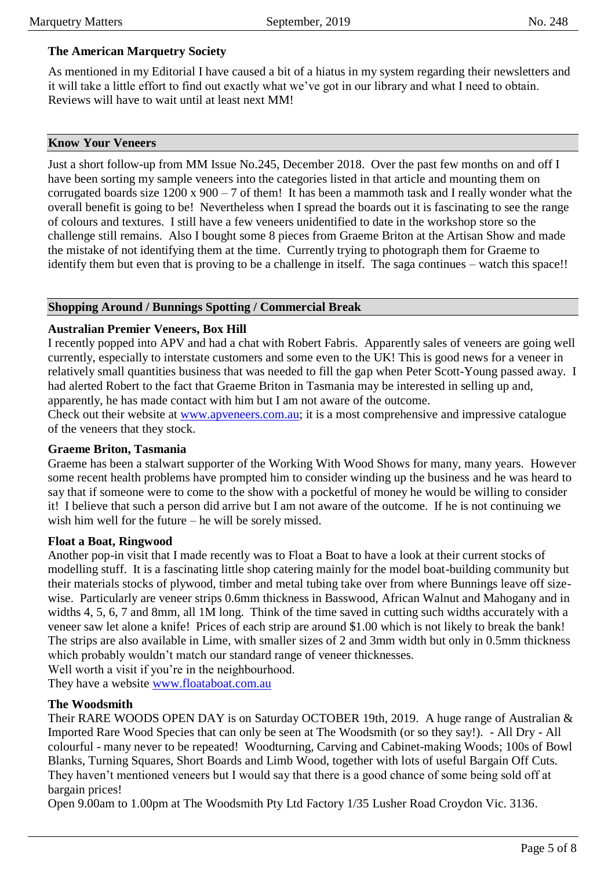#### **The American Marquetry Society**

As mentioned in my Editorial I have caused a bit of a hiatus in my system regarding their newsletters and it will take a little effort to find out exactly what we've got in our library and what I need to obtain. Reviews will have to wait until at least next MM!

#### **Know Your Veneers**

Just a short follow-up from MM Issue No.245, December 2018. Over the past few months on and off I have been sorting my sample veneers into the categories listed in that article and mounting them on corrugated boards size  $1200 \times 900 - 7$  of them! It has been a mammoth task and I really wonder what the overall benefit is going to be! Nevertheless when I spread the boards out it is fascinating to see the range of colours and textures. I still have a few veneers unidentified to date in the workshop store so the challenge still remains. Also I bought some 8 pieces from Graeme Briton at the Artisan Show and made the mistake of not identifying them at the time. Currently trying to photograph them for Graeme to identify them but even that is proving to be a challenge in itself. The saga continues – watch this space!!

#### **Shopping Around / Bunnings Spotting / Commercial Break**

#### **Australian Premier Veneers, Box Hill**

I recently popped into APV and had a chat with Robert Fabris. Apparently sales of veneers are going well currently, especially to interstate customers and some even to the UK! This is good news for a veneer in relatively small quantities business that was needed to fill the gap when Peter Scott-Young passed away. I had alerted Robert to the fact that Graeme Briton in Tasmania may be interested in selling up and, apparently, he has made contact with him but I am not aware of the outcome.

Check out their website at [www.apveneers.com.au;](http://www.apveneers.com.au/) it is a most comprehensive and impressive catalogue of the veneers that they stock.

#### **Graeme Briton, Tasmania**

Graeme has been a stalwart supporter of the Working With Wood Shows for many, many years. However some recent health problems have prompted him to consider winding up the business and he was heard to say that if someone were to come to the show with a pocketful of money he would be willing to consider it! I believe that such a person did arrive but I am not aware of the outcome. If he is not continuing we wish him well for the future – he will be sorely missed.

#### **Float a Boat, Ringwood**

Another pop-in visit that I made recently was to Float a Boat to have a look at their current stocks of modelling stuff. It is a fascinating little shop catering mainly for the model boat-building community but their materials stocks of plywood, timber and metal tubing take over from where Bunnings leave off sizewise. Particularly are veneer strips 0.6mm thickness in Basswood, African Walnut and Mahogany and in widths 4, 5, 6, 7 and 8mm, all 1M long. Think of the time saved in cutting such widths accurately with a veneer saw let alone a knife! Prices of each strip are around \$1.00 which is not likely to break the bank! The strips are also available in Lime, with smaller sizes of 2 and 3mm width but only in 0.5mm thickness which probably wouldn't match our standard range of veneer thicknesses.

Well worth a visit if you're in the neighbourhood.

They have a website [www.floataboat.com.au](http://www.floataboat.com.au/)

#### **The Woodsmith**

Their RARE WOODS OPEN DAY is on Saturday OCTOBER 19th, 2019. A huge range of Australian & Imported Rare Wood Species that can only be seen at The Woodsmith (or so they say!). - All Dry - All colourful - many never to be repeated! Woodturning, Carving and Cabinet-making Woods; 100s of Bowl Blanks, Turning Squares, Short Boards and Limb Wood, together with lots of useful Bargain Off Cuts. They haven't mentioned veneers but I would say that there is a good chance of some being sold off at bargain prices!

Open 9.00am to 1.00pm at The Woodsmith Pty Ltd Factory 1/35 Lusher Road Croydon Vic. 3136.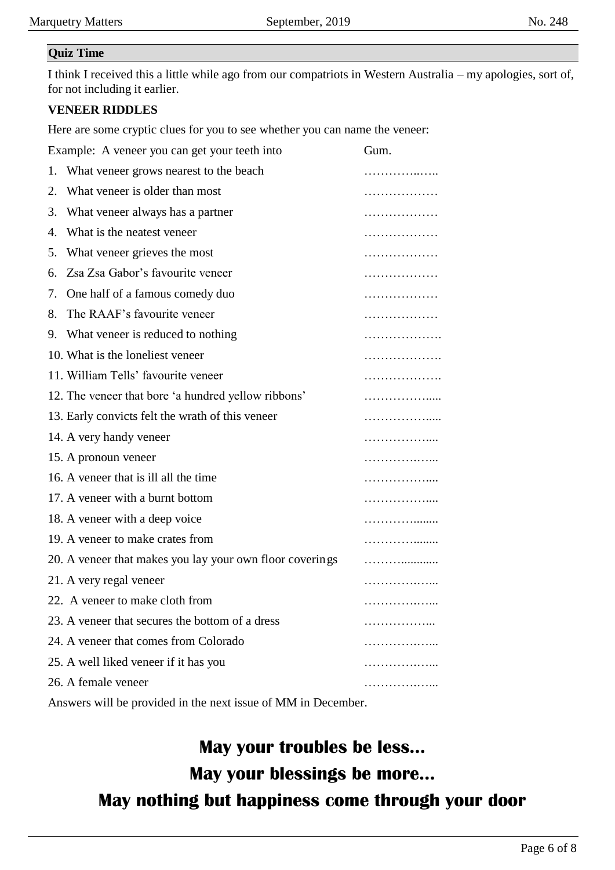#### **Quiz Time**

I think I received this a little while ago from our compatriots in Western Australia – my apologies, sort of, for not including it earlier.

### **VENEER RIDDLES**

Here are some cryptic clues for you to see whether you can name the veneer:

|    | Example: A veneer you can get your teeth into                 | Gum.         |
|----|---------------------------------------------------------------|--------------|
|    | 1. What veneer grows nearest to the beach                     | .            |
| 2. | What veneer is older than most                                | .            |
| 3. | What veneer always has a partner                              | .            |
| 4. | What is the neatest veneer                                    | .            |
| 5. | What veneer grieves the most                                  | .            |
| 6. | Zsa Zsa Gabor's favourite veneer                              | .            |
| 7. | One half of a famous comedy duo                               | .            |
| 8. | The RAAF's favourite veneer                                   | .            |
|    | 9. What veneer is reduced to nothing                          | .            |
|    | 10. What is the loneliest veneer                              | .            |
|    | 11. William Tells' favourite veneer                           | .            |
|    | 12. The veneer that bore 'a hundred yellow ribbons'           | .            |
|    | 13. Early convicts felt the wrath of this veneer              | .            |
|    | 14. A very handy veneer                                       | .            |
|    | 15. A pronoun veneer                                          | .            |
|    | 16. A veneer that is ill all the time                         | . <b>.</b>   |
|    | 17. A veneer with a burnt bottom                              | .            |
|    | 18. A veneer with a deep voice                                | .            |
|    | 19. A veneer to make crates from                              | .            |
|    | 20. A veneer that makes you lay your own floor coverings      |              |
|    | 21. A very regal veneer                                       | .            |
|    | 22. A veneer to make cloth from                               | . <b>. .</b> |
|    | 23. A veneer that secures the bottom of a dress               |              |
|    | 24. A veneer that comes from Colorado                         |              |
|    | 25. A well liked veneer if it has you                         |              |
|    | 26. A female veneer                                           |              |
|    | Answers will be provided in the next issue of MM in December. |              |

# **May your troubles be less... May your blessings be more... May nothing but happiness come through your door**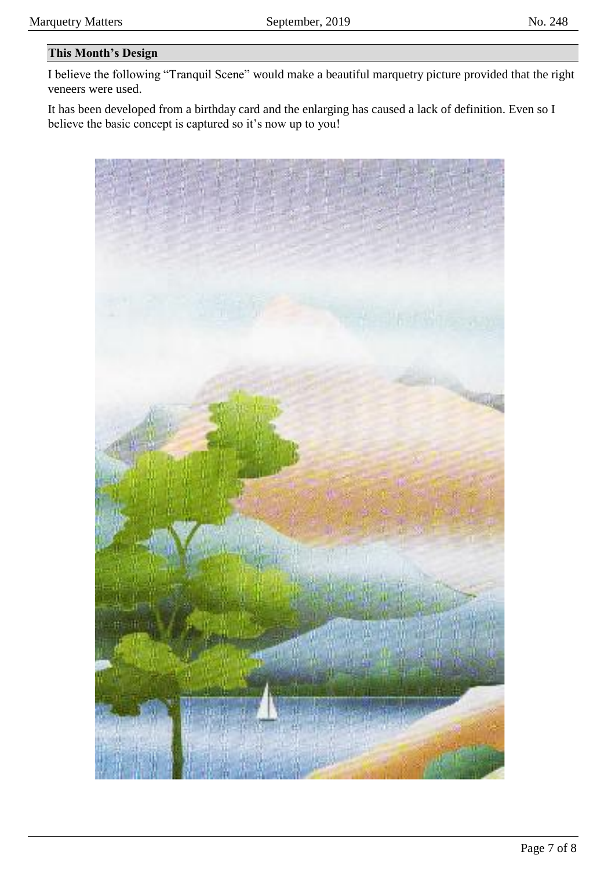# **This Month's Design**

I believe the following "Tranquil Scene" would make a beautiful marquetry picture provided that the right veneers were used.

It has been developed from a birthday card and the enlarging has caused a lack of definition. Even so I believe the basic concept is captured so it's now up to you!